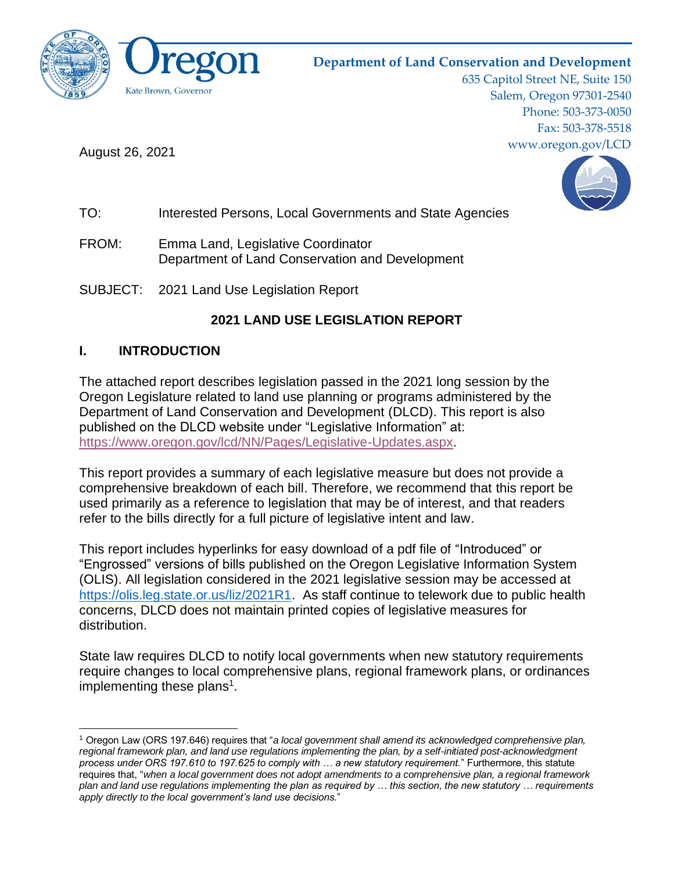

# **Department of Land Conservation and Development**

635 Capitol Street NE, Suite 150 Salem, Oregon 97301-2540 Phone: 503-373-0050 Fax: 503-378-5518 www.oregon.gov/LCD

August 26, 2021



- TO: Interested Persons, Local Governments and State Agencies
- FROM: Emma Land, Legislative Coordinator Department of Land Conservation and Development

SUBJECT: 2021 Land Use Legislation Report

# **2021 LAND USE LEGISLATION REPORT**

# **I. INTRODUCTION**

The attached report describes legislation passed in the 2021 long session by the Oregon Legislature related to land use planning or programs administered by the Department of Land Conservation and Development (DLCD). This report is also published on the DLCD website under "Legislative Information" at: [https://www.oregon.gov/lcd/NN/Pages/Legislative-Updates.aspx.](https://www.oregon.gov/lcd/NN/Pages/Legislative-Updates.aspx)

This report provides a summary of each legislative measure but does not provide a comprehensive breakdown of each bill. Therefore, we recommend that this report be used primarily as a reference to legislation that may be of interest, and that readers refer to the bills directly for a full picture of legislative intent and law.

This report includes hyperlinks for easy download of a pdf file of "Introduced" or "Engrossed" versions of bills published on the Oregon Legislative Information System (OLIS). All legislation considered in the 2021 legislative session may be accessed at https://olis.leg.state.or.us/liz/2021R1. As staff continue to telework due to public health concerns, DLCD does not maintain printed copies of legislative measures for distribution.

State law requires DLCD to notify local governments when new statutory requirements require changes to local comprehensive plans, regional framework plans, or ordinances implementing these plans<sup>1</sup>.

<sup>1</sup> Oregon Law (ORS 197.646) requires that "*a local government shall amend its acknowledged comprehensive plan,*  regional framework plan, and land use regulations implementing the plan, by a self-initiated post-acknowledgment *process under ORS 197.610 to 197.625 to comply with … a new statutory requirement.*" Furthermore, this statute requires that, "*when a local government does not adopt amendments to a comprehensive plan, a regional framework plan and land use regulations implementing the plan as required by … this section, the new statutory … requirements apply directly to the local government's land use decisions.*"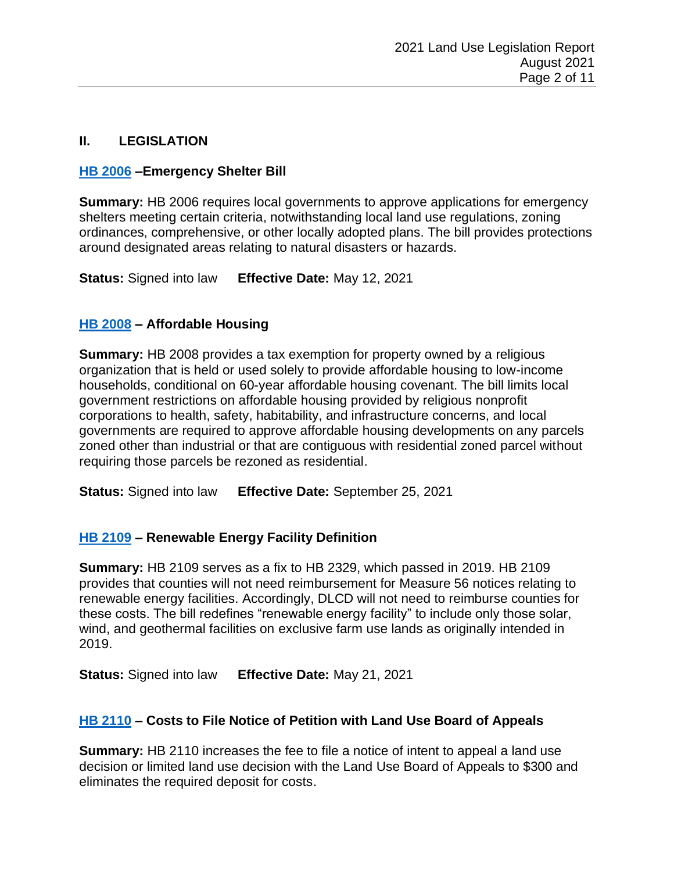# **II. LEGISLATION**

# **[HB 2006](https://olis.oregonlegislature.gov/liz/2021R1/Downloads/MeasureDocument/HB2006) –Emergency Shelter Bill**

**Summary:** HB 2006 requires local governments to approve applications for emergency shelters meeting certain criteria, notwithstanding local land use regulations, zoning ordinances, comprehensive, or other locally adopted plans. The bill provides protections around designated areas relating to natural disasters or hazards.

**Status:** Signed into law **Effective Date:** May 12, 2021

#### **[HB 2008](https://olis.oregonlegislature.gov/liz/2021R1/Downloads/MeasureDocument/HB2008) – Affordable Housing**

**Summary:** HB 2008 provides a tax exemption for property owned by a religious organization that is held or used solely to provide affordable housing to low-income households, conditional on 60-year affordable housing covenant. The bill limits local government restrictions on affordable housing provided by religious nonprofit corporations to health, safety, habitability, and infrastructure concerns, and local governments are required to approve affordable housing developments on any parcels zoned other than industrial or that are contiguous with residential zoned parcel without requiring those parcels be rezoned as residential.

**Status:** Signed into law **Effective Date:** September 25, 2021

# **[HB 2109](https://olis.oregonlegislature.gov/liz/2021R1/Downloads/MeasureDocument/HB2109) – Renewable Energy Facility Definition**

**Summary:** HB 2109 serves as a fix to HB 2329, which passed in 2019. HB 2109 provides that counties will not need reimbursement for Measure 56 notices relating to renewable energy facilities. Accordingly, DLCD will not need to reimburse counties for these costs. The bill redefines "renewable energy facility" to include only those solar, wind, and geothermal facilities on exclusive farm use lands as originally intended in 2019.

**Status:** Signed into law **Effective Date:** May 21, 2021

# **[HB 2110](https://olis.oregonlegislature.gov/liz/2021R1/Downloads/MeasureDocument/HB2110) – Costs to File Notice of Petition with Land Use Board of Appeals**

**Summary:** HB 2110 increases the fee to file a notice of intent to appeal a land use decision or limited land use decision with the Land Use Board of Appeals to \$300 and eliminates the required deposit for costs.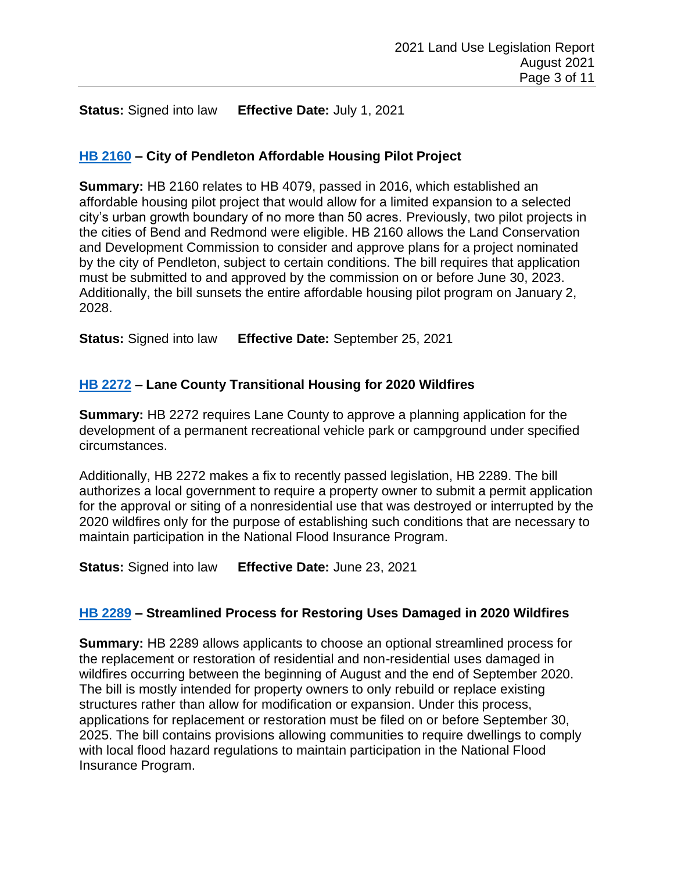**Status:** Signed into law **Effective Date:** July 1, 2021

### **[HB 2160](https://olis.oregonlegislature.gov/liz/2021R1/Downloads/MeasureDocument/HB2160) – City of Pendleton Affordable Housing Pilot Project**

**Summary:** HB 2160 relates to HB 4079, passed in 2016, which established an affordable housing pilot project that would allow for a limited expansion to a selected city's urban growth boundary of no more than 50 acres. Previously, two pilot projects in the cities of Bend and Redmond were eligible. HB 2160 allows the Land Conservation and Development Commission to consider and approve plans for a project nominated by the city of Pendleton, subject to certain conditions. The bill requires that application must be submitted to and approved by the commission on or before June 30, 2023. Additionally, the bill sunsets the entire affordable housing pilot program on January 2, 2028.

**Status:** Signed into law **Effective Date:** September 25, 2021

# **[HB 2272](https://olis.oregonlegislature.gov/liz/2021R1/Downloads/MeasureDocument/HB2272) – Lane County Transitional Housing for 2020 Wildfires**

**Summary:** HB 2272 requires Lane County to approve a planning application for the development of a permanent recreational vehicle park or campground under specified circumstances.

Additionally, HB 2272 makes a fix to recently passed legislation, HB 2289. The bill authorizes a local government to require a property owner to submit a permit application for the approval or siting of a nonresidential use that was destroyed or interrupted by the 2020 wildfires only for the purpose of establishing such conditions that are necessary to maintain participation in the National Flood Insurance Program.

**Status:** Signed into law **Effective Date:** June 23, 2021

# **[HB 2289](https://olis.oregonlegislature.gov/liz/2021R1/Downloads/MeasureDocument/HB2289) – Streamlined Process for Restoring Uses Damaged in 2020 Wildfires**

**Summary:** HB 2289 allows applicants to choose an optional streamlined process for the replacement or restoration of residential and non-residential uses damaged in wildfires occurring between the beginning of August and the end of September 2020. The bill is mostly intended for property owners to only rebuild or replace existing structures rather than allow for modification or expansion. Under this process, applications for replacement or restoration must be filed on or before September 30, 2025. The bill contains provisions allowing communities to require dwellings to comply with local flood hazard regulations to maintain participation in the National Flood Insurance Program.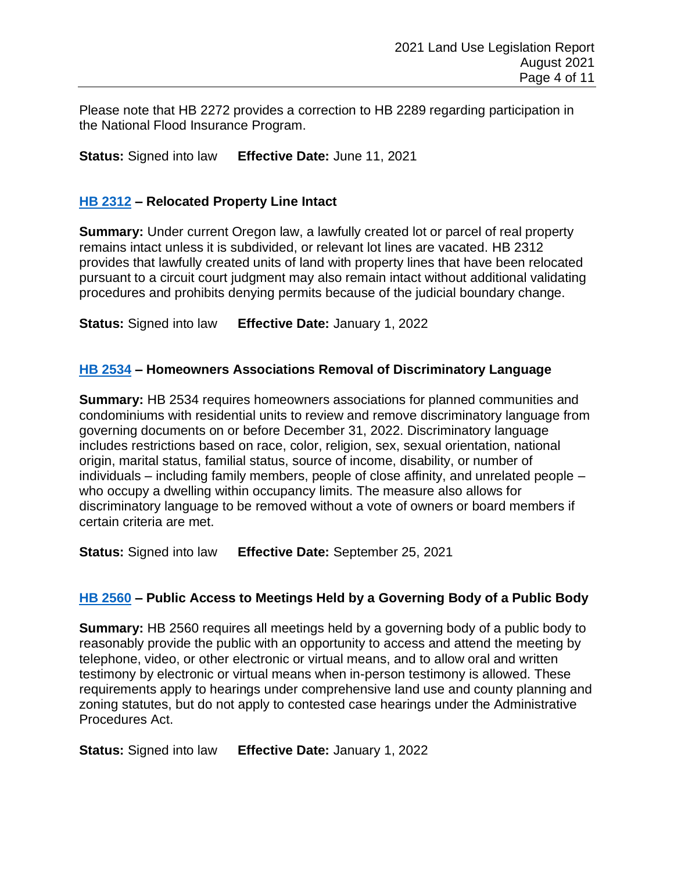Please note that HB 2272 provides a correction to HB 2289 regarding participation in the National Flood Insurance Program.

**Status:** Signed into law **Effective Date:** June 11, 2021

#### **[HB 2312](https://olis.oregonlegislature.gov/liz/2021R1/Downloads/MeasureDocument/HB2312) – Relocated Property Line Intact**

**Summary:** Under current Oregon law, a lawfully created lot or parcel of real property remains intact unless it is subdivided, or relevant lot lines are vacated. HB 2312 provides that lawfully created units of land with property lines that have been relocated pursuant to a circuit court judgment may also remain intact without additional validating procedures and prohibits denying permits because of the judicial boundary change.

**Status:** Signed into law **Effective Date:** January 1, 2022

#### **[HB 2534](https://olis.oregonlegislature.gov/liz/2021R1/Downloads/MeasureDocument/HB2534) – Homeowners Associations Removal of Discriminatory Language**

**Summary:** HB 2534 requires homeowners associations for planned communities and condominiums with residential units to review and remove discriminatory language from governing documents on or before December 31, 2022. Discriminatory language includes restrictions based on race, color, religion, sex, sexual orientation, national origin, marital status, familial status, source of income, disability, or number of individuals – including family members, people of close affinity, and unrelated people – who occupy a dwelling within occupancy limits. The measure also allows for discriminatory language to be removed without a vote of owners or board members if certain criteria are met.

**Status:** Signed into law **Effective Date:** September 25, 2021

#### **[HB 2560](https://olis.oregonlegislature.gov/liz/2021R1/Downloads/MeasureDocument/HB2560) – Public Access to Meetings Held by a Governing Body of a Public Body**

**Summary:** HB 2560 requires all meetings held by a governing body of a public body to reasonably provide the public with an opportunity to access and attend the meeting by telephone, video, or other electronic or virtual means, and to allow oral and written testimony by electronic or virtual means when in-person testimony is allowed. These requirements apply to hearings under comprehensive land use and county planning and zoning statutes, but do not apply to contested case hearings under the Administrative Procedures Act.

**Status:** Signed into law **Effective Date:** January 1, 2022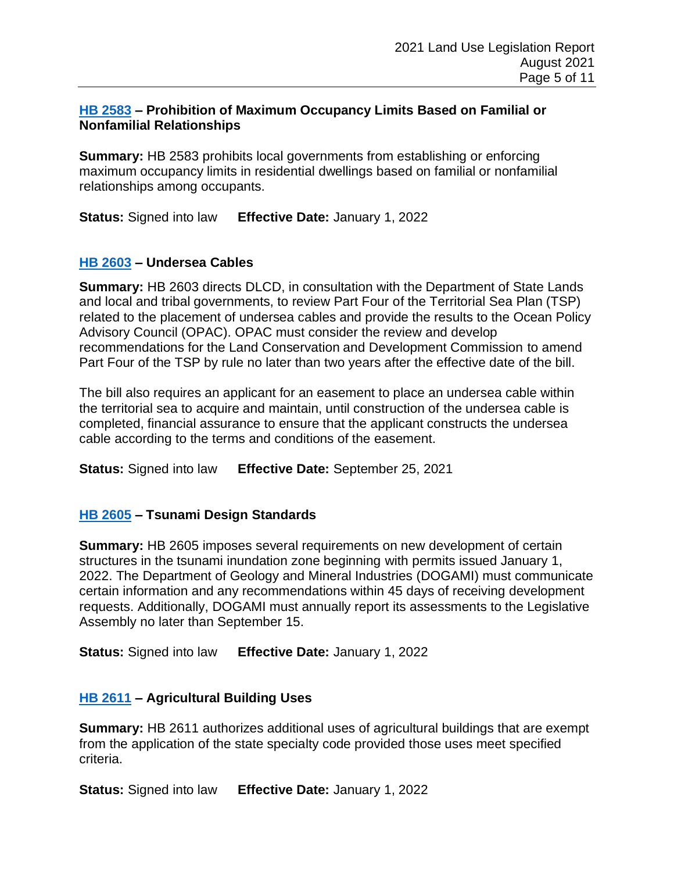#### **[HB 2583](https://olis.oregonlegislature.gov/liz/2021R1/Downloads/MeasureDocument/HB2583) – Prohibition of Maximum Occupancy Limits Based on Familial or Nonfamilial Relationships**

**Summary:** HB 2583 prohibits local governments from establishing or enforcing maximum occupancy limits in residential dwellings based on familial or nonfamilial relationships among occupants.

**Status:** Signed into law **Effective Date:** January 1, 2022

#### **[HB 2603](https://olis.oregonlegislature.gov/liz/2021R1/Downloads/MeasureDocument/HB2603) – Undersea Cables**

**Summary:** HB 2603 directs DLCD, in consultation with the Department of State Lands and local and tribal governments, to review Part Four of the Territorial Sea Plan (TSP) related to the placement of undersea cables and provide the results to the Ocean Policy Advisory Council (OPAC). OPAC must consider the review and develop recommendations for the Land Conservation and Development Commission to amend Part Four of the TSP by rule no later than two years after the effective date of the bill.

The bill also requires an applicant for an easement to place an undersea cable within the territorial sea to acquire and maintain, until construction of the undersea cable is completed, financial assurance to ensure that the applicant constructs the undersea cable according to the terms and conditions of the easement.

**Status:** Signed into law **Effective Date:** September 25, 2021

#### **[HB 2605](https://olis.oregonlegislature.gov/liz/2021R1/Downloads/MeasureDocument/HB2605) – Tsunami Design Standards**

**Summary:** HB 2605 imposes several requirements on new development of certain structures in the tsunami inundation zone beginning with permits issued January 1, 2022. The Department of Geology and Mineral Industries (DOGAMI) must communicate certain information and any recommendations within 45 days of receiving development requests. Additionally, DOGAMI must annually report its assessments to the Legislative Assembly no later than September 15.

**Status:** Signed into law **Effective Date:** January 1, 2022

#### **[HB 2611](https://olis.oregonlegislature.gov/liz/2021R1/Downloads/MeasureDocument/HB2611) – Agricultural Building Uses**

**Summary:** HB 2611 authorizes additional uses of agricultural buildings that are exempt from the application of the state specialty code provided those uses meet specified criteria.

**Status:** Signed into law **Effective Date:** January 1, 2022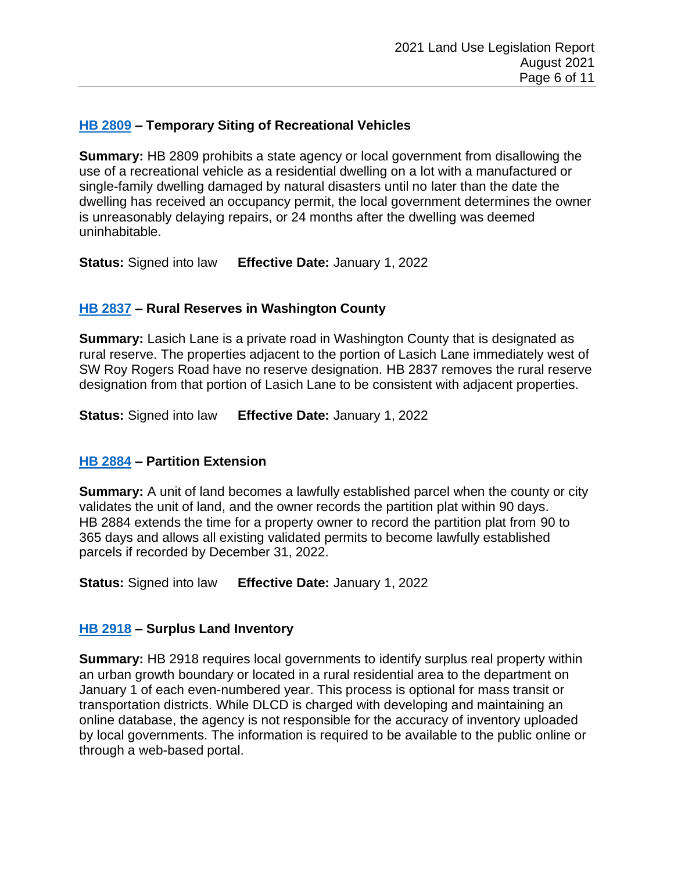### **[HB 2809](https://olis.oregonlegislature.gov/liz/2021R1/Downloads/MeasureDocument/HB2809) – Temporary Siting of Recreational Vehicles**

**Summary:** HB 2809 prohibits a state agency or local government from disallowing the use of a recreational vehicle as a residential dwelling on a lot with a manufactured or single-family dwelling damaged by natural disasters until no later than the date the dwelling has received an occupancy permit, the local government determines the owner is unreasonably delaying repairs, or 24 months after the dwelling was deemed uninhabitable.

**Status:** Signed into law **Effective Date:** January 1, 2022

# **[HB 2837](https://olis.oregonlegislature.gov/liz/2021R1/Downloads/MeasureDocument/HB2837) – Rural Reserves in Washington County**

**Summary:** Lasich Lane is a private road in Washington County that is designated as rural reserve. The properties adjacent to the portion of Lasich Lane immediately west of SW Roy Rogers Road have no reserve designation. HB 2837 removes the rural reserve designation from that portion of Lasich Lane to be consistent with adjacent properties.

**Status:** Signed into law **Effective Date:** January 1, 2022

#### **[HB 2884](https://olis.oregonlegislature.gov/liz/2021R1/Downloads/MeasureDocument/HB2884) – Partition Extension**

**Summary:** A unit of land becomes a lawfully established parcel when the county or city validates the unit of land, and the owner records the partition plat within 90 days. HB 2884 extends the time for a property owner to record the partition plat from 90 to 365 days and allows all existing validated permits to become lawfully established parcels if recorded by December 31, 2022.

**Status:** Signed into law **Effective Date:** January 1, 2022

#### **[HB 2918](https://olis.oregonlegislature.gov/liz/2021R1/Downloads/MeasureDocument/HB2918) – Surplus Land Inventory**

**Summary:** HB 2918 requires local governments to identify surplus real property within an urban growth boundary or located in a rural residential area to the department on January 1 of each even-numbered year. This process is optional for mass transit or transportation districts. While DLCD is charged with developing and maintaining an online database, the agency is not responsible for the accuracy of inventory uploaded by local governments. The information is required to be available to the public online or through a web-based portal.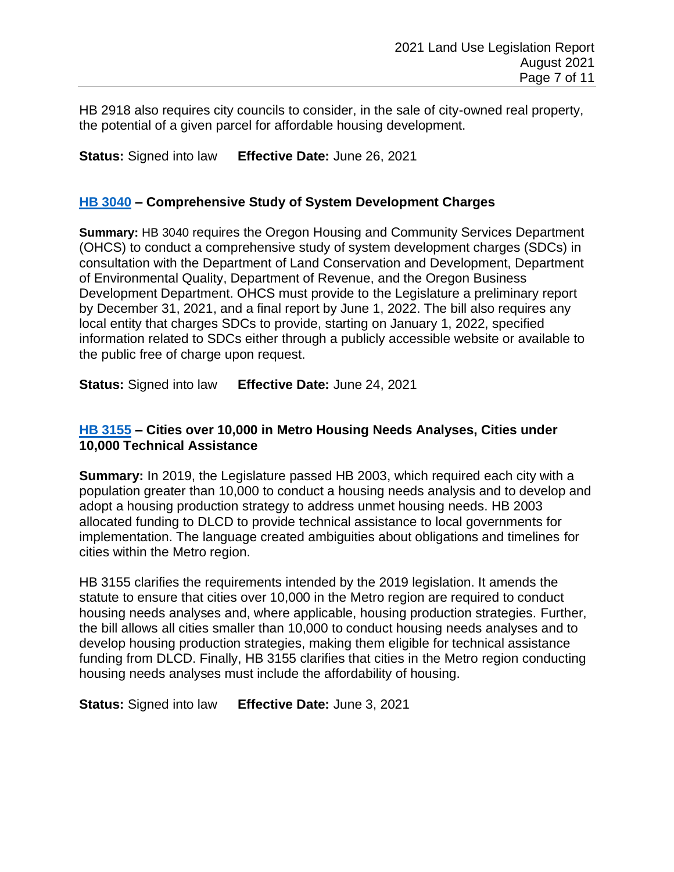HB 2918 also requires city councils to consider, in the sale of city-owned real property, the potential of a given parcel for affordable housing development.

**Status:** Signed into law **Effective Date:** June 26, 2021

#### **[HB 3040](https://olis.oregonlegislature.gov/liz/2021R1/Downloads/MeasureDocument/HB3040) – Comprehensive Study of System Development Charges**

**Summary:** HB 3040 requires the Oregon Housing and Community Services Department (OHCS) to conduct a comprehensive study of system development charges (SDCs) in consultation with the Department of Land Conservation and Development, Department of Environmental Quality, Department of Revenue, and the Oregon Business Development Department. OHCS must provide to the Legislature a preliminary report by December 31, 2021, and a final report by June 1, 2022. The bill also requires any local entity that charges SDCs to provide, starting on January 1, 2022, specified information related to SDCs either through a publicly accessible website or available to the public free of charge upon request.

**Status:** Signed into law **Effective Date:** June 24, 2021

#### **[HB 3155](https://olis.oregonlegislature.gov/liz/2021R1/Downloads/MeasureDocument/HB3155) – Cities over 10,000 in Metro Housing Needs Analyses, Cities under 10,000 Technical Assistance**

**Summary:** In 2019, the Legislature passed HB 2003, which required each city with a population greater than 10,000 to conduct a housing needs analysis and to develop and adopt a housing production strategy to address unmet housing needs. HB 2003 allocated funding to DLCD to provide technical assistance to local governments for implementation. The language created ambiguities about obligations and timelines for cities within the Metro region.

HB 3155 clarifies the requirements intended by the 2019 legislation. It amends the statute to ensure that cities over 10,000 in the Metro region are required to conduct housing needs analyses and, where applicable, housing production strategies. Further, the bill allows all cities smaller than 10,000 to conduct housing needs analyses and to develop housing production strategies, making them eligible for technical assistance funding from DLCD. Finally, HB 3155 clarifies that cities in the Metro region conducting housing needs analyses must include the affordability of housing.

**Status:** Signed into law **Effective Date:** June 3, 2021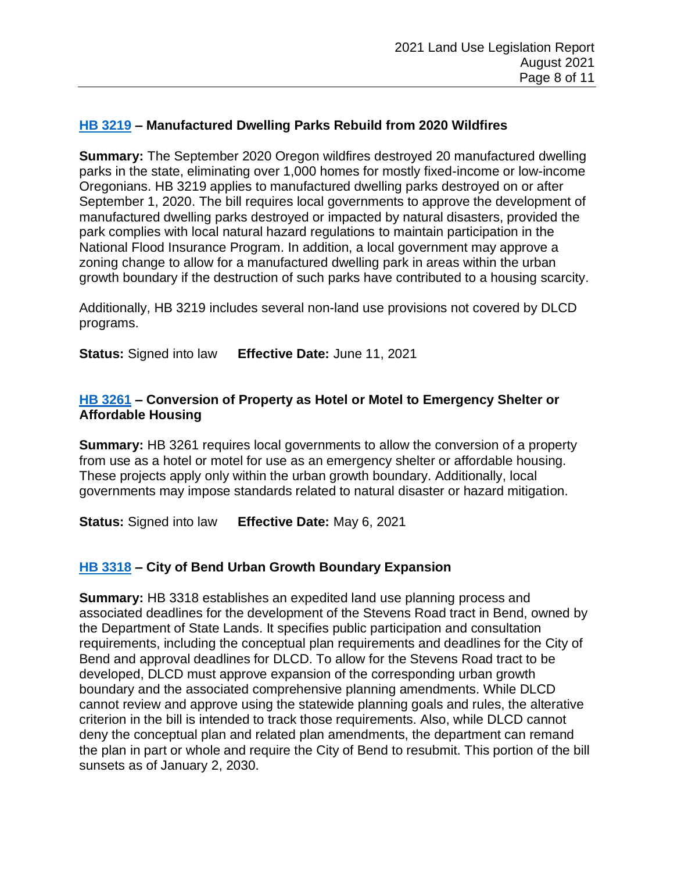### **[HB 3219](https://olis.oregonlegislature.gov/liz/2021R1/Downloads/MeasureDocument/HB3219) – Manufactured Dwelling Parks Rebuild from 2020 Wildfires**

**Summary:** The September 2020 Oregon wildfires destroyed 20 manufactured dwelling parks in the state, eliminating over 1,000 homes for mostly fixed-income or low-income Oregonians. HB 3219 applies to manufactured dwelling parks destroyed on or after September 1, 2020. The bill requires local governments to approve the development of manufactured dwelling parks destroyed or impacted by natural disasters, provided the park complies with local natural hazard regulations to maintain participation in the National Flood Insurance Program. In addition, a local government may approve a zoning change to allow for a manufactured dwelling park in areas within the urban growth boundary if the destruction of such parks have contributed to a housing scarcity.

Additionally, HB 3219 includes several non-land use provisions not covered by DLCD programs.

**Status:** Signed into law **Effective Date:** June 11, 2021

### **[HB 3261](https://olis.oregonlegislature.gov/liz/2021R1/Downloads/MeasureDocument/HB3261) – Conversion of Property as Hotel or Motel to Emergency Shelter or Affordable Housing**

**Summary:** HB 3261 requires local governments to allow the conversion of a property from use as a hotel or motel for use as an emergency shelter or affordable housing. These projects apply only within the urban growth boundary. Additionally, local governments may impose standards related to natural disaster or hazard mitigation.

**Status:** Signed into law **Effective Date:** May 6, 2021

# **[HB 3318](https://olis.oregonlegislature.gov/liz/2021R1/Downloads/MeasureDocument/HB3318) – City of Bend Urban Growth Boundary Expansion**

**Summary:** HB 3318 establishes an expedited land use planning process and associated deadlines for the development of the Stevens Road tract in Bend, owned by the Department of State Lands. It specifies public participation and consultation requirements, including the conceptual plan requirements and deadlines for the City of Bend and approval deadlines for DLCD. To allow for the Stevens Road tract to be developed, DLCD must approve expansion of the corresponding urban growth boundary and the associated comprehensive planning amendments. While DLCD cannot review and approve using the statewide planning goals and rules, the alterative criterion in the bill is intended to track those requirements. Also, while DLCD cannot deny the conceptual plan and related plan amendments, the department can remand the plan in part or whole and require the City of Bend to resubmit. This portion of the bill sunsets as of January 2, 2030.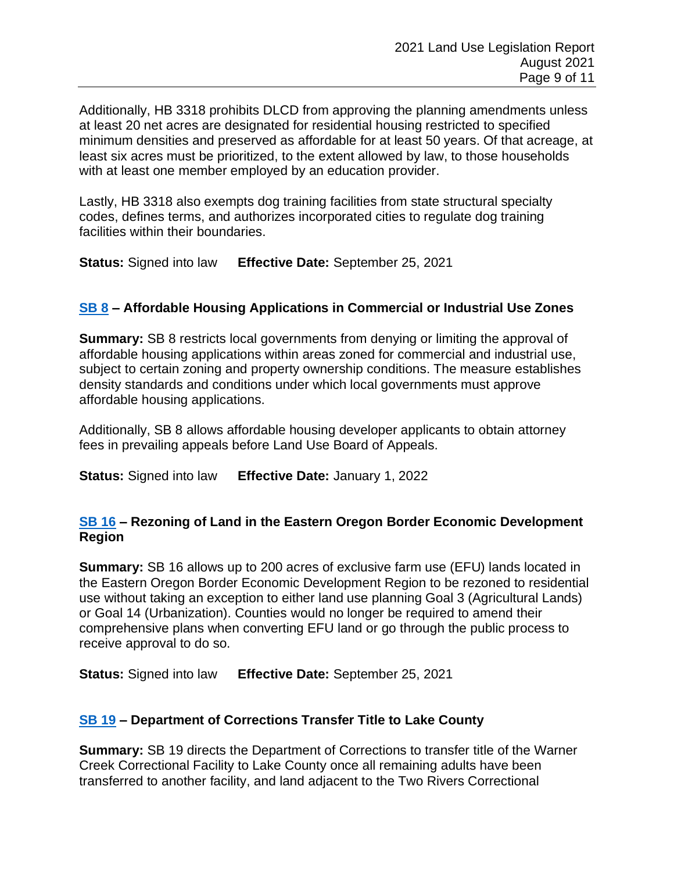Additionally, HB 3318 prohibits DLCD from approving the planning amendments unless at least 20 net acres are designated for residential housing restricted to specified minimum densities and preserved as affordable for at least 50 years. Of that acreage, at least six acres must be prioritized, to the extent allowed by law, to those households with at least one member employed by an education provider.

Lastly, HB 3318 also exempts dog training facilities from state structural specialty codes, defines terms, and authorizes incorporated cities to regulate dog training facilities within their boundaries.

**Status:** Signed into law **Effective Date:** September 25, 2021

# **[SB 8](https://olis.oregonlegislature.gov/liz/2021R1/Downloads/MeasureDocument/SB8) – Affordable Housing Applications in Commercial or Industrial Use Zones**

**Summary:** SB 8 restricts local governments from denying or limiting the approval of affordable housing applications within areas zoned for commercial and industrial use, subject to certain zoning and property ownership conditions. The measure establishes density standards and conditions under which local governments must approve affordable housing applications.

Additionally, SB 8 allows affordable housing developer applicants to obtain attorney fees in prevailing appeals before Land Use Board of Appeals.

**Status:** Signed into law **Effective Date:** January 1, 2022

#### **[SB 16](https://olis.oregonlegislature.gov/liz/2021R1/Downloads/MeasureDocument/SB16) – Rezoning of Land in the Eastern Oregon Border Economic Development Region**

**Summary:** SB 16 allows up to 200 acres of exclusive farm use (EFU) lands located in the Eastern Oregon Border Economic Development Region to be rezoned to residential use without taking an exception to either land use planning Goal 3 (Agricultural Lands) or Goal 14 (Urbanization). Counties would no longer be required to amend their comprehensive plans when converting EFU land or go through the public process to receive approval to do so.

**Status:** Signed into law **Effective Date:** September 25, 2021

# **[SB 19](https://olis.oregonlegislature.gov/liz/2021R1/Downloads/MeasureDocument/SB19) – Department of Corrections Transfer Title to Lake County**

**Summary:** SB 19 directs the Department of Corrections to transfer title of the Warner Creek Correctional Facility to Lake County once all remaining adults have been transferred to another facility, and land adjacent to the Two Rivers Correctional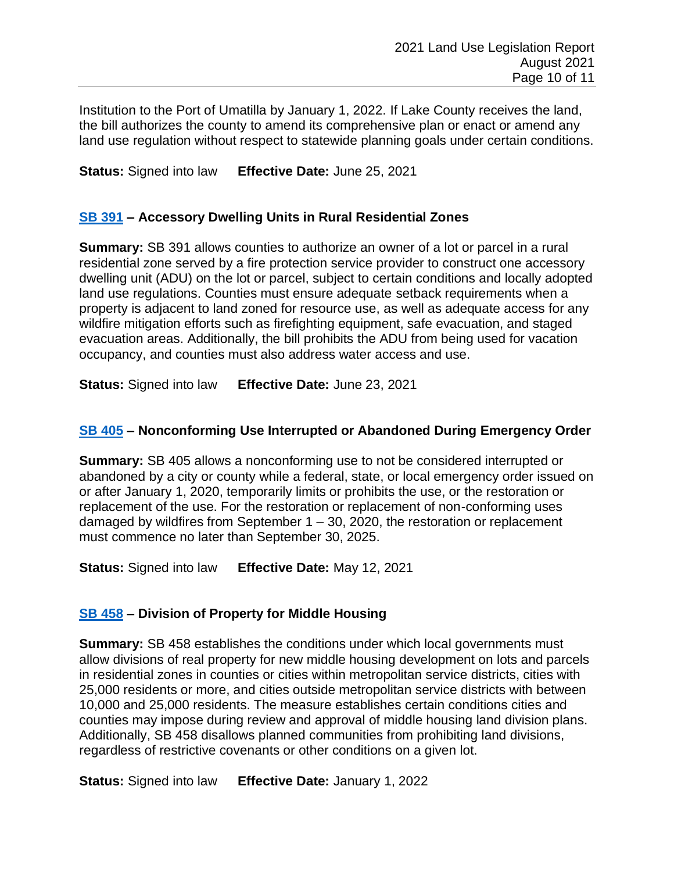Institution to the Port of Umatilla by January 1, 2022. If Lake County receives the land, the bill authorizes the county to amend its comprehensive plan or enact or amend any land use regulation without respect to statewide planning goals under certain conditions.

**Status:** Signed into law **Effective Date:** June 25, 2021

# **[SB 391](https://olis.oregonlegislature.gov/liz/2021R1/Downloads/MeasureDocument/SB391) – Accessory Dwelling Units in Rural Residential Zones**

**Summary:** SB 391 allows counties to authorize an owner of a lot or parcel in a rural residential zone served by a fire protection service provider to construct one accessory dwelling unit (ADU) on the lot or parcel, subject to certain conditions and locally adopted land use regulations. Counties must ensure adequate setback requirements when a property is adjacent to land zoned for resource use, as well as adequate access for any wildfire mitigation efforts such as firefighting equipment, safe evacuation, and staged evacuation areas. Additionally, the bill prohibits the ADU from being used for vacation occupancy, and counties must also address water access and use.

**Status:** Signed into law **Effective Date:** June 23, 2021

# **[SB 405](https://olis.oregonlegislature.gov/liz/2021R1/Downloads/MeasureDocument/SB405) – Nonconforming Use Interrupted or Abandoned During Emergency Order**

**Summary:** SB 405 allows a nonconforming use to not be considered interrupted or abandoned by a city or county while a federal, state, or local emergency order issued on or after January 1, 2020, temporarily limits or prohibits the use, or the restoration or replacement of the use. For the restoration or replacement of non-conforming uses damaged by wildfires from September  $1 - 30$ , 2020, the restoration or replacement must commence no later than September 30, 2025.

**Status:** Signed into law **Effective Date:** May 12, 2021

# **SB [458](https://olis.oregonlegislature.gov/liz/2021R1/Downloads/MeasureDocument/SB458) – Division of Property for Middle Housing**

**Summary:** SB 458 establishes the conditions under which local governments must allow divisions of real property for new middle housing development on lots and parcels in residential zones in counties or cities within metropolitan service districts, cities with 25,000 residents or more, and cities outside metropolitan service districts with between 10,000 and 25,000 residents. The measure establishes certain conditions cities and counties may impose during review and approval of middle housing land division plans. Additionally, SB 458 disallows planned communities from prohibiting land divisions, regardless of restrictive covenants or other conditions on a given lot.

**Status:** Signed into law **Effective Date:** January 1, 2022